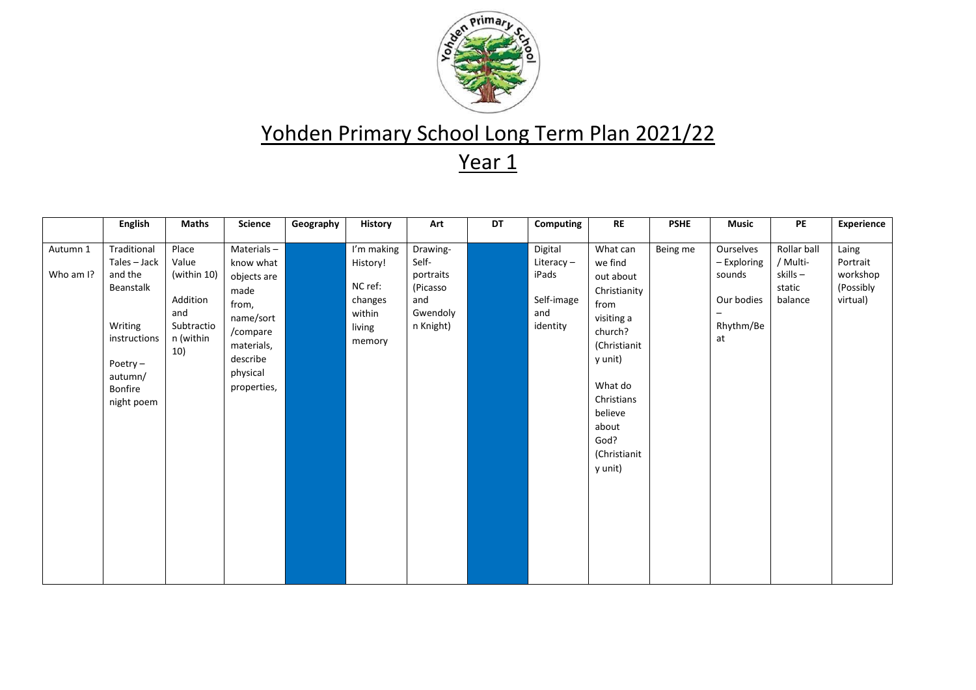

|                       | <b>English</b>                                                                                                                          | <b>Maths</b>                                                                       | <b>Science</b>                                                                                                                        | Geography | <b>History</b>                                                             | Art                                                                        | DT | Computing                                                         | <b>RE</b>                                                                                                                                                                                    | <b>PSHE</b> | <b>Music</b>                                                        | PE                                                      | Experience                                             |
|-----------------------|-----------------------------------------------------------------------------------------------------------------------------------------|------------------------------------------------------------------------------------|---------------------------------------------------------------------------------------------------------------------------------------|-----------|----------------------------------------------------------------------------|----------------------------------------------------------------------------|----|-------------------------------------------------------------------|----------------------------------------------------------------------------------------------------------------------------------------------------------------------------------------------|-------------|---------------------------------------------------------------------|---------------------------------------------------------|--------------------------------------------------------|
| Autumn 1<br>Who am I? | Traditional<br>Tales - Jack<br>and the<br>Beanstalk<br>Writing<br>instructions<br>Poetry $-$<br>autumn/<br><b>Bonfire</b><br>night poem | Place<br>Value<br>(within 10)<br>Addition<br>and<br>Subtractio<br>n (within<br>10) | Materials-<br>know what<br>objects are<br>made<br>from,<br>name/sort<br>/compare<br>materials,<br>describe<br>physical<br>properties, |           | I'm making<br>History!<br>NC ref:<br>changes<br>within<br>living<br>memory | Drawing-<br>Self-<br>portraits<br>(Picasso<br>and<br>Gwendoly<br>n Knight) |    | Digital<br>Literacy $-$<br>iPads<br>Self-image<br>and<br>identity | What can<br>we find<br>out about<br>Christianity<br>from<br>visiting a<br>church?<br>(Christianit<br>y unit)<br>What do<br>Christians<br>believe<br>about<br>God?<br>(Christianit<br>y unit) | Being me    | Ourselves<br>- Exploring<br>sounds<br>Our bodies<br>Rhythm/Be<br>at | Rollar ball<br>/ Multi-<br>skills-<br>static<br>balance | Laing<br>Portrait<br>workshop<br>(Possibly<br>virtual) |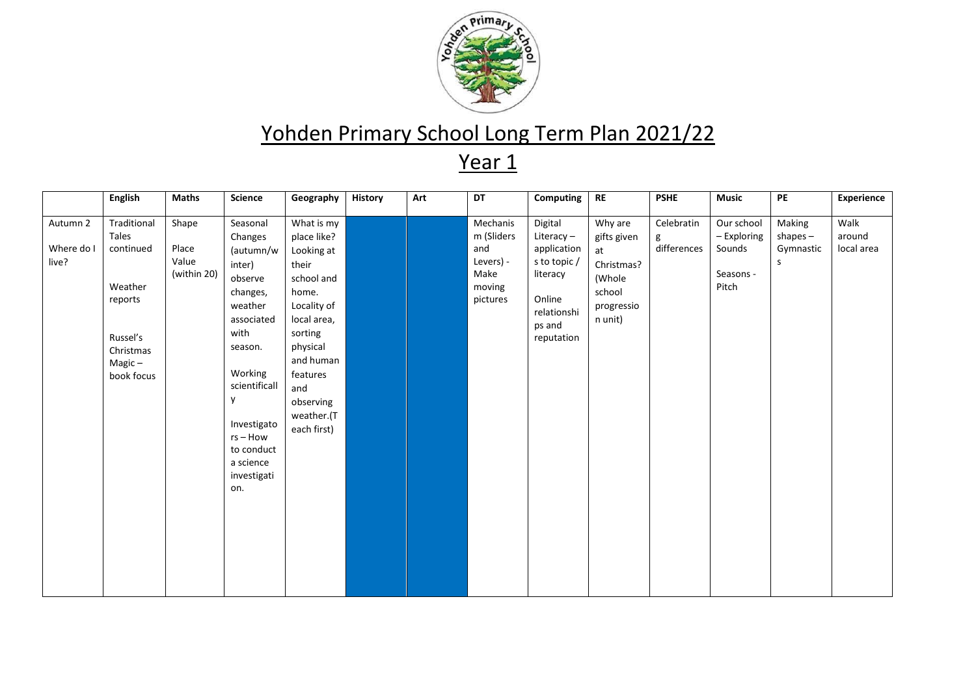

|                                 | <b>English</b>                                                                                              | <b>Maths</b>                           | Science                                                                                                                                                                                                                      | Geography                                                                                                                                                                                              | <b>History</b> | Art | DT                                                                       | Computing                                                                                                        | <b>RE</b>                                                                               | <b>PSHE</b>                    | <b>Music</b>                                              | PE                                     | Experience                   |
|---------------------------------|-------------------------------------------------------------------------------------------------------------|----------------------------------------|------------------------------------------------------------------------------------------------------------------------------------------------------------------------------------------------------------------------------|--------------------------------------------------------------------------------------------------------------------------------------------------------------------------------------------------------|----------------|-----|--------------------------------------------------------------------------|------------------------------------------------------------------------------------------------------------------|-----------------------------------------------------------------------------------------|--------------------------------|-----------------------------------------------------------|----------------------------------------|------------------------------|
| Autumn 2<br>Where do I<br>live? | Traditional<br>Tales<br>continued<br>Weather<br>reports<br>Russel's<br>Christmas<br>$Magic -$<br>book focus | Shape<br>Place<br>Value<br>(within 20) | Seasonal<br>Changes<br>(autumn/w<br>inter)<br>observe<br>changes,<br>weather<br>associated<br>with<br>season.<br>Working<br>scientificall<br>y<br>Investigato<br>$rs - How$<br>to conduct<br>a science<br>investigati<br>on. | What is my<br>place like?<br>Looking at<br>their<br>school and<br>home.<br>Locality of<br>local area,<br>sorting<br>physical<br>and human<br>features<br>and<br>observing<br>weather.(T<br>each first) |                |     | Mechanis<br>m (Sliders<br>and<br>Levers) -<br>Make<br>moving<br>pictures | Digital<br>Literacy-<br>application<br>s to topic /<br>literacy<br>Online<br>relationshi<br>ps and<br>reputation | Why are<br>gifts given<br>at<br>Christmas?<br>(Whole<br>school<br>progressio<br>n unit) | Celebratin<br>g<br>differences | Our school<br>- Exploring<br>Sounds<br>Seasons -<br>Pitch | Making<br>shapes $-$<br>Gymnastic<br>S | Walk<br>around<br>local area |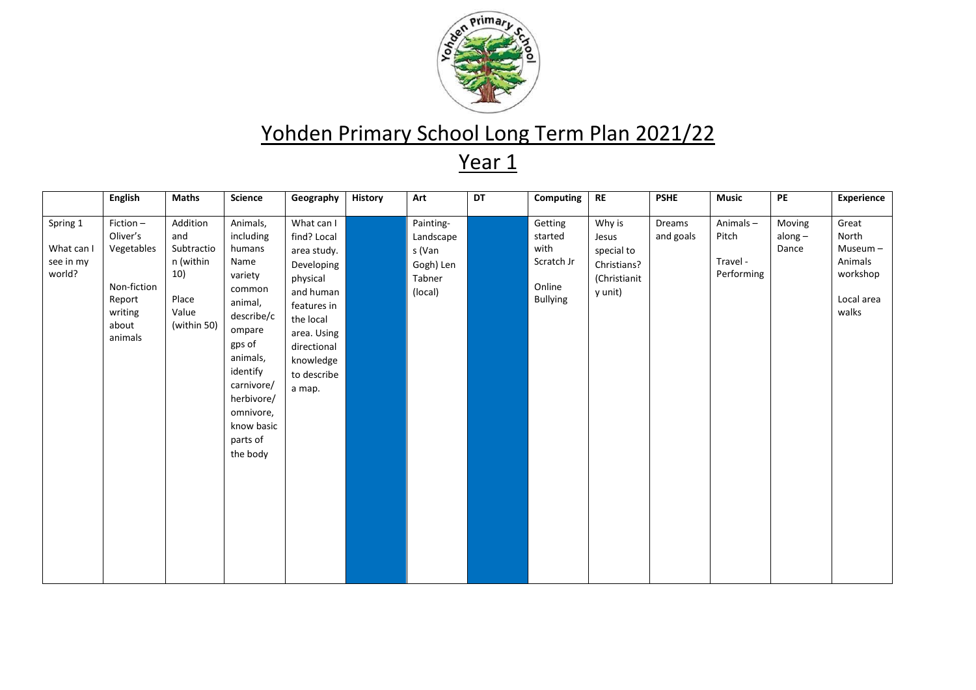

|                                               | <b>English</b>                                                                             | <b>Maths</b>                                                                       | Science                                                                                                                                                                                                          | Geography                                                                                                                                                                       | <b>History</b> | Art                                                                | DT | Computing                                                      | $\sf RE$                                                                | <b>PSHE</b>         | <b>Music</b>                                | PE                           | Experience                                                              |
|-----------------------------------------------|--------------------------------------------------------------------------------------------|------------------------------------------------------------------------------------|------------------------------------------------------------------------------------------------------------------------------------------------------------------------------------------------------------------|---------------------------------------------------------------------------------------------------------------------------------------------------------------------------------|----------------|--------------------------------------------------------------------|----|----------------------------------------------------------------|-------------------------------------------------------------------------|---------------------|---------------------------------------------|------------------------------|-------------------------------------------------------------------------|
| Spring 1<br>What can I<br>see in my<br>world? | Fiction-<br>Oliver's<br>Vegetables<br>Non-fiction<br>Report<br>writing<br>about<br>animals | Addition<br>and<br>Subtractio<br>n (within<br>10)<br>Place<br>Value<br>(within 50) | Animals,<br>including<br>humans<br>Name<br>variety<br>common<br>animal,<br>describe/c<br>ompare<br>gps of<br>animals,<br>identify<br>carnivore/<br>herbivore/<br>omnivore,<br>know basic<br>parts of<br>the body | What can I<br>find? Local<br>area study.<br>Developing<br>physical<br>and human<br>features in<br>the local<br>area. Using<br>directional<br>knowledge<br>to describe<br>a map. |                | Painting-<br>Landscape<br>s (Van<br>Gogh) Len<br>Tabner<br>(local) |    | Getting<br>started<br>with<br>Scratch Jr<br>Online<br>Bullying | Why is<br>Jesus<br>special to<br>Christians?<br>(Christianit<br>y unit) | Dreams<br>and goals | Animals-<br>Pitch<br>Travel -<br>Performing | Moving<br>along $-$<br>Dance | Great<br>North<br>Museum-<br>Animals<br>workshop<br>Local area<br>walks |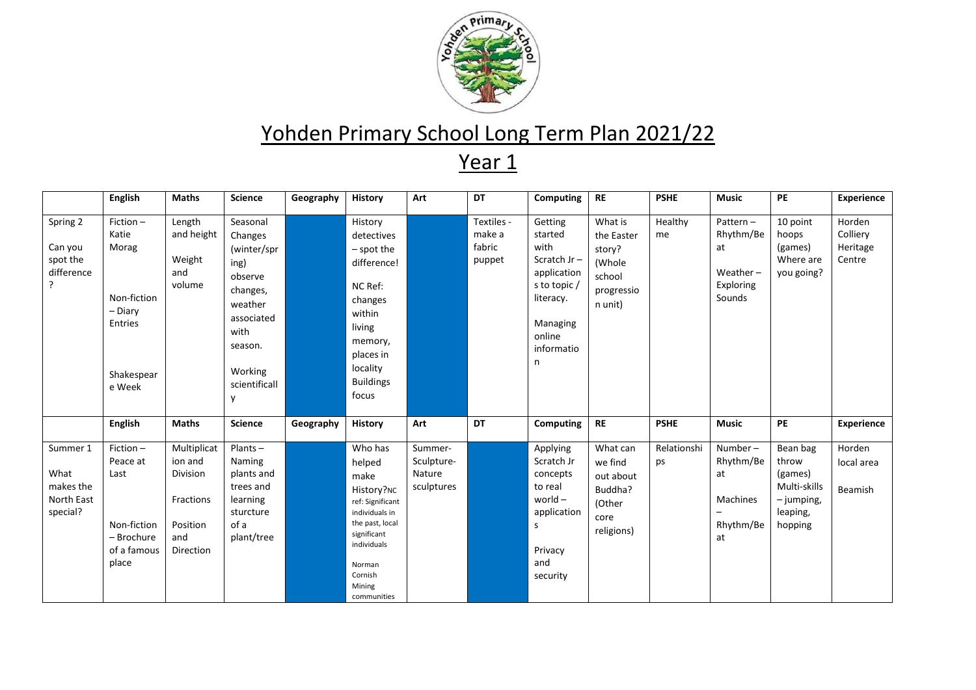

|                                                          | <b>English</b>                                                                          | <b>Maths</b>                                                                           | <b>Science</b>                                                                                                                                 | Geography | History                                                                                                                                                                      | Art                                           | DT                                       | <b>Computing</b>                                                                                                               | <b>RE</b>                                                                    | <b>PSHE</b>       | <b>Music</b>                                                      | <b>PE</b>                                                                           | <b>Experience</b>                        |
|----------------------------------------------------------|-----------------------------------------------------------------------------------------|----------------------------------------------------------------------------------------|------------------------------------------------------------------------------------------------------------------------------------------------|-----------|------------------------------------------------------------------------------------------------------------------------------------------------------------------------------|-----------------------------------------------|------------------------------------------|--------------------------------------------------------------------------------------------------------------------------------|------------------------------------------------------------------------------|-------------------|-------------------------------------------------------------------|-------------------------------------------------------------------------------------|------------------------------------------|
| Spring 2<br>Can you<br>spot the<br>difference<br>$\cdot$ | Fiction-<br>Katie<br>Morag<br>Non-fiction<br>- Diary<br>Entries<br>Shakespear<br>e Week | Length<br>and height<br>Weight<br>and<br>volume                                        | Seasonal<br>Changes<br>(winter/spr<br>ing)<br>observe<br>changes,<br>weather<br>associated<br>with<br>season.<br>Working<br>scientificall<br>y |           | History<br>detectives<br>$-$ spot the<br>difference!<br>NC Ref:<br>changes<br>within<br>living<br>memory,<br>places in<br>locality<br><b>Buildings</b><br>focus              |                                               | Textiles -<br>make a<br>fabric<br>puppet | Getting<br>started<br>with<br>Scratch Jr-<br>application<br>s to topic /<br>literacy.<br>Managing<br>online<br>informatio<br>n | What is<br>the Easter<br>story?<br>(Whole<br>school<br>progressio<br>n unit) | Healthy<br>me     | Pattern-<br>Rhythm/Be<br>at<br>Weather $-$<br>Exploring<br>Sounds | 10 point<br>hoops<br>(games)<br>Where are<br>you going?                             | Horden<br>Colliery<br>Heritage<br>Centre |
|                                                          | <b>English</b>                                                                          | <b>Maths</b>                                                                           | <b>Science</b>                                                                                                                                 | Geography | <b>History</b>                                                                                                                                                               | Art                                           | DT                                       | Computing                                                                                                                      | <b>RE</b>                                                                    | <b>PSHE</b>       | <b>Music</b>                                                      | PE                                                                                  | <b>Experience</b>                        |
| Summer 1<br>What<br>makes the<br>North East<br>special?  | $Fiction -$<br>Peace at<br>Last<br>Non-fiction<br>- Brochure<br>of a famous<br>place    | Multiplicat<br>ion and<br>Division<br>Fractions<br>Position<br>and<br><b>Direction</b> | $Plants -$<br>Naming<br>plants and<br>trees and<br>learning<br>sturcture<br>of a<br>plant/tree                                                 |           | Who has<br>helped<br>make<br>History?NC<br>ref: Significant<br>individuals in<br>the past, local<br>significant<br>individuals<br>Norman<br>Cornish<br>Mining<br>communities | Summer-<br>Sculpture-<br>Nature<br>sculptures |                                          | Applying<br>Scratch Jr<br>concepts<br>to real<br>world $-$<br>application<br>S<br>Privacy<br>and<br>security                   | What can<br>we find<br>out about<br>Buddha?<br>(Other<br>core<br>religions)  | Relationshi<br>ps | Number-<br>Rhythm/Be<br>at<br>Machines<br>Rhythm/Be<br>at         | Bean bag<br>throw<br>(games)<br>Multi-skills<br>$-$ jumping,<br>leaping,<br>hopping | Horden<br>local area<br>Beamish          |